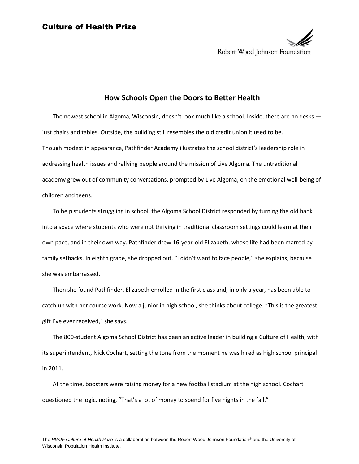

## **How Schools Open the Doors to Better Health**

The newest school in Algoma, Wisconsin, doesn't look much like a school. Inside, there are no desks just chairs and tables. Outside, the building still resembles the old credit union it used to be. Though modest in appearance, Pathfinder Academy illustrates the school district's leadership role in addressing health issues and rallying people around the mission of Live Algoma. The untraditional academy grew out of community conversations, prompted by Live Algoma, on the emotional well-being of children and teens.

To help students struggling in school, the Algoma School District responded by turning the old bank into a space where students who were not thriving in traditional classroom settings could learn at their own pace, and in their own way. Pathfinder drew 16-year-old Elizabeth, whose life had been marred by family setbacks. In eighth grade, she dropped out. "I didn't want to face people," she explains, because she was embarrassed.

Then she found Pathfinder. Elizabeth enrolled in the first class and, in only a year, has been able to catch up with her course work. Now a junior in high school, she thinks about college. "This is the greatest gift I've ever received," she says.

The 800-student Algoma School District has been an active leader in building a Culture of Health, with its superintendent, Nick Cochart, setting the tone from the moment he was hired as high school principal in 2011.

At the time, boosters were raising money for a new football stadium at the high school. Cochart questioned the logic, noting, "That's a lot of money to spend for five nights in the fall."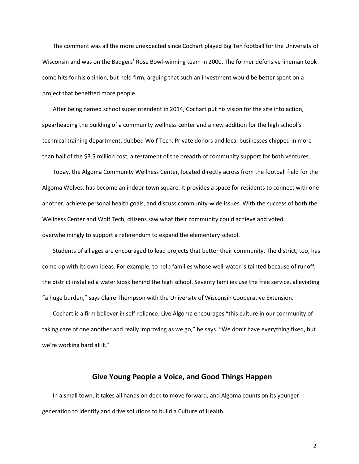The comment was all the more unexpected since Cochart played Big Ten football for the University of Wisconsin and was on the Badgers' Rose Bowl-winning team in 2000. The former defensive lineman took some hits for his opinion, but held firm, arguing that such an investment would be better spent on a project that benefited more people.

After being named school superintendent in 2014, Cochart put his vision for the site into action, spearheading the building of a community wellness center and a new addition for the high school's technical training department, dubbed Wolf Tech. Private donors and local businesses chipped in more than half of the \$3.5 million cost, a testament of the breadth of community support for both ventures.

Today, the Algoma Community Wellness Center, located directly across from the football field for the Algoma Wolves, has become an indoor town square. It provides a space for residents to connect with one another, achieve personal health goals, and discuss community-wide issues. With the success of both the Wellness Center and Wolf Tech, citizens saw what their community could achieve and voted overwhelmingly to support a referendum to expand the elementary school.

Students of all ages are encouraged to lead projects that better their community. The district, too, has come up with its own ideas. For example, to help families whose well-water is tainted because of runoff, the district installed a water kiosk behind the high school. Seventy families use the free service, alleviating "a huge burden," says Claire Thompson with the University of Wisconsin Cooperative Extension.

Cochart is a firm believer in self-reliance. Live Algoma encourages "this culture in our community of taking care of one another and really improving as we go," he says. "We don't have everything fixed, but we're working hard at it."

## **Give Young People a Voice, and Good Things Happen**

In a small town, it takes all hands on deck to move forward, and Algoma counts on its younger generation to identify and drive solutions to build a Culture of Health.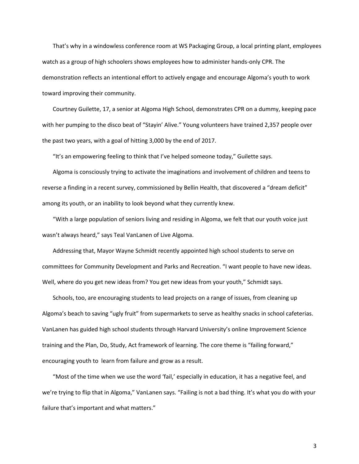That's why in a windowless conference room at WS Packaging Group, a local printing plant, employees watch as a group of high schoolers shows employees how to administer hands-only CPR. The demonstration reflects an intentional effort to actively engage and encourage Algoma's youth to work toward improving their community.

Courtney Guilette, 17, a senior at Algoma High School, demonstrates CPR on a dummy, keeping pace with her pumping to the disco beat of "Stayin' Alive." Young volunteers have trained 2,357 people over the past two years, with a goal of hitting 3,000 by the end of 2017.

"It's an empowering feeling to think that I've helped someone today," Guilette says.

Algoma is consciously trying to activate the imaginations and involvement of children and teens to reverse a finding in a recent survey, commissioned by Bellin Health, that discovered a "dream deficit" among its youth, or an inability to look beyond what they currently knew.

"With a large population of seniors living and residing in Algoma, we felt that our youth voice just wasn't always heard," says Teal VanLanen of Live Algoma.

Addressing that, Mayor Wayne Schmidt recently appointed high school students to serve on committees for Community Development and Parks and Recreation. "I want people to have new ideas. Well, where do you get new ideas from? You get new ideas from your youth," Schmidt says.

Schools, too, are encouraging students to lead projects on a range of issues, from cleaning up Algoma's beach to saving "ugly fruit" from supermarkets to serve as healthy snacks in school cafeterias. VanLanen has guided high school students through Harvard University's online Improvement Science training and the Plan, Do, Study, Act framework of learning. The core theme is "failing forward," encouraging youth to learn from failure and grow as a result.

"Most of the time when we use the word 'fail,' especially in education, it has a negative feel, and we're trying to flip that in Algoma," VanLanen says. "Failing is not a bad thing. It's what you do with your failure that's important and what matters."

3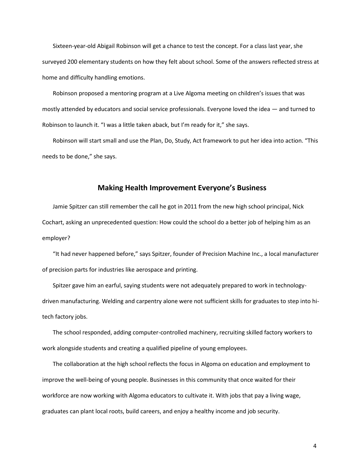Sixteen-year-old Abigail Robinson will get a chance to test the concept. For a class last year, she surveyed 200 elementary students on how they felt about school. Some of the answers reflected stress at home and difficulty handling emotions.

Robinson proposed a mentoring program at a Live Algoma meeting on children's issues that was mostly attended by educators and social service professionals. Everyone loved the idea — and turned to Robinson to launch it. "I was a little taken aback, but I'm ready for it," she says.

Robinson will start small and use the Plan, Do, Study, Act framework to put her idea into action. "This needs to be done," she says.

## **Making Health Improvement Everyone's Business**

Jamie Spitzer can still remember the call he got in 2011 from the new high school principal, Nick Cochart, asking an unprecedented question: How could the school do a better job of helping him as an employer?

"It had never happened before," says Spitzer, founder of Precision Machine Inc., a local manufacturer of precision parts for industries like aerospace and printing.

Spitzer gave him an earful, saying students were not adequately prepared to work in technologydriven manufacturing. Welding and carpentry alone were not sufficient skills for graduates to step into hitech factory jobs.

The school responded, adding computer-controlled machinery, recruiting skilled factory workers to work alongside students and creating a qualified pipeline of young employees.

The collaboration at the high school reflects the focus in Algoma on education and employment to improve the well-being of young people. Businesses in this community that once waited for their workforce are now working with Algoma educators to cultivate it. With jobs that pay a living wage, graduates can plant local roots, build careers, and enjoy a healthy income and job security.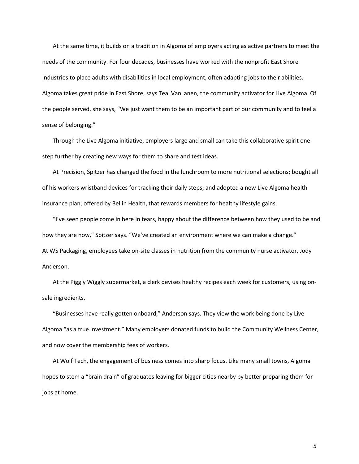At the same time, it builds on a tradition in Algoma of employers acting as active partners to meet the needs of the community. For four decades, businesses have worked with the nonprofit East Shore Industries to place adults with disabilities in local employment, often adapting jobs to their abilities. Algoma takes great pride in East Shore, says Teal VanLanen, the community activator for Live Algoma. Of the people served, she says, "We just want them to be an important part of our community and to feel a sense of belonging."

Through the Live Algoma initiative, employers large and small can take this collaborative spirit one step further by creating new ways for them to share and test ideas.

At Precision, Spitzer has changed the food in the lunchroom to more nutritional selections; bought all of his workers wristband devices for tracking their daily steps; and adopted a new Live Algoma health insurance plan, offered by Bellin Health, that rewards members for healthy lifestyle gains.

"I've seen people come in here in tears, happy about the difference between how they used to be and how they are now," Spitzer says. "We've created an environment where we can make a change." At WS Packaging, employees take on-site classes in nutrition from the community nurse activator, Jody Anderson.

At the Piggly Wiggly supermarket, a clerk devises healthy recipes each week for customers, using onsale ingredients.

"Businesses have really gotten onboard," Anderson says. They view the work being done by Live Algoma "as a true investment." Many employers donated funds to build the Community Wellness Center, and now cover the membership fees of workers.

At Wolf Tech, the engagement of business comes into sharp focus. Like many small towns, Algoma hopes to stem a "brain drain" of graduates leaving for bigger cities nearby by better preparing them for jobs at home.